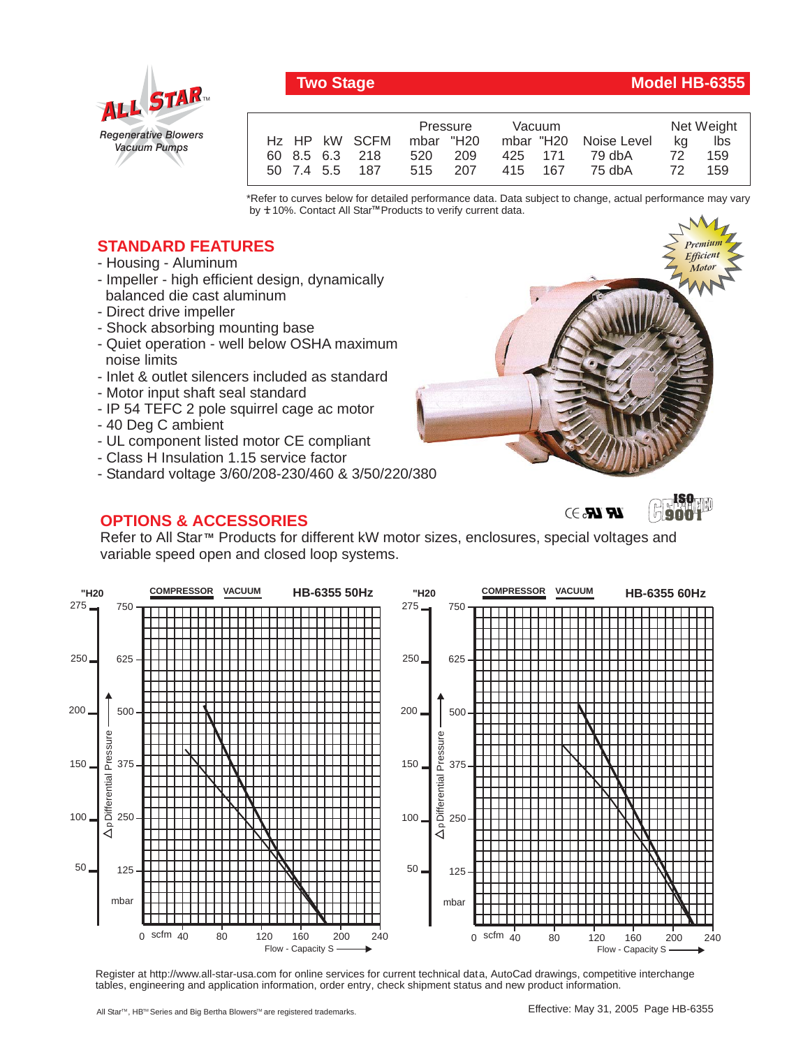

## **Two Stage Model HB-6355**

*Premium*

*Premium*

|                | Pressure  | Vacuum                 | Net Weight |
|----------------|-----------|------------------------|------------|
| Hz HP kW SCFM  | mbar "H20 | mbar "H20 Noise Level  | ka<br>lbs  |
| 60 8.5 6.3 218 | 520 209   | 425 171 79.dbA         | 72<br>159  |
| 50 7.4 5.5 187 |           | 515 207 415 167 75 dbA | 159<br>72  |

\*Refer to curves below for detailed performance data. Data subject to change, actual performance may vary by **+** 10%. Contact All Star™ Products to verify current data.

## **STANDARD FEATURES**

- Housing Aluminum
- Impeller high efficient design, dynamically balanced die cast aluminum
- Direct drive impeller
- Shock absorbing mounting base
- Quiet operation well below OSHA maximum noise limits
- Inlet & outlet silencers included as standard
- Motor input shaft seal standard
- IP 54 TEFC 2 pole squirrel cage ac motor
- 40 Deg C ambient
- UL component listed motor CE compliant
- Class H Insulation 1.15 service factor
- Standard voltage 3/60/208-230/460 & 3/50/220/380

## **OPTIONS & ACCESSORIES**





**ISO**

Refer to All Star<sup>™</sup> Products for different kW motor sizes, enclosures, special voltages and variable speed open and closed loop systems.



Register at http://www.all-star-usa.com for online services for current technical data, AutoCad drawings, competitive interchange tables, engineering and application information, order entry, check shipment status and new product information.